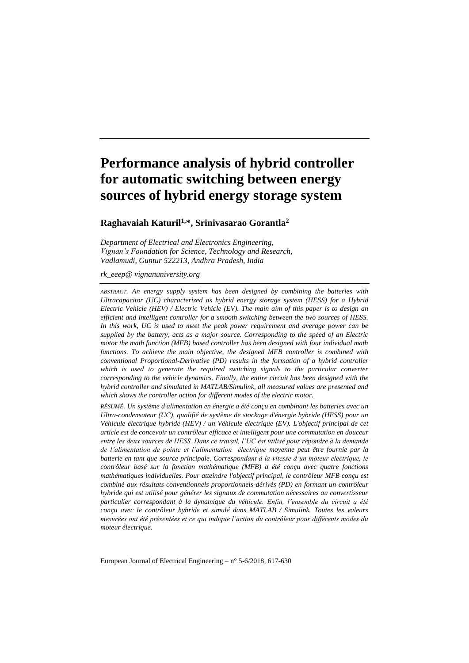# **Performance analysis of hybrid controller for automatic switching between energy sources of hybrid energy storage system**

**Raghavaiah Katuril 1,\*, Srinivasarao Gorantla<sup>2</sup>**

*Department of Electrical and Electronics Engineering, Vignan's Foundation for Science, Technology and Research, Vadlamudi, Guntur 522213, Andhra Pradesh, India*

*rk\_eeep@ vignanuniversity.org*

*ABSTRACT. An energy supply system has been designed by combining the batteries with Ultracapacitor (UC) characterized as hybrid energy storage system (HESS) for a Hybrid Electric Vehicle (HEV) / Electric Vehicle (EV). The main aim of this paper is to design an efficient and intelligent controller for a smooth switching between the two sources of HESS. In this work, UC is used to meet the peak power requirement and average power can be supplied by the battery, acts as a major source. Corresponding to the speed of an Electric motor the math function (MFB) based controller has been designed with four individual math functions. To achieve the main objective, the designed MFB controller is combined with conventional Proportional-Derivative (PD) results in the formation of a hybrid controller*  which is used to generate the required switching signals to the particular converter *corresponding to the vehicle dynamics. Finally, the entire circuit has been designed with the hybrid controller and simulated in MATLAB/Simulink, all measured values are presented and which shows the controller action for different modes of the electric motor.*

*RÉSUMÉ. Un système d'alimentation en énergie a été conçu en combinant les batteries avec un Ultra-condensateur (UC), qualifié de système de stockage d'énergie hybride (HESS) pour un Véhicule électrique hybride (HEV) / un Véhicule électrique (EV). L'objectif principal de cet article est de concevoir un contrôleur efficace et intelligent pour une commutation en douceur entre les deux sources de HESS. Dans ce travail, l'UC est utilisé pour répondre à la demande de l'alimentation de pointe et l'alimentation électrique moyenne peut être fournie par la batterie en tant que source principale. Correspondant à la vitesse d'un moteur électrique, le contrôleur basé sur la fonction mathématique (MFB) a été conçu avec quatre fonctions mathématiques individuelles. Pour atteindre l'objectif principal, le contrôleur MFB conçu est combiné aux résultats conventionnels proportionnels-dérivés (PD) en formant un contrôleur hybride qui est utilisé pour générer les signaux de commutation nécessaires au convertisseur particulier correspondant à la dynamique du véhicule. Enfin, l'ensemble du circuit a été conçu avec le contrôleur hybride et simulé dans MATLAB / Simulink. Toutes les valeurs mesurées ont été présentées et ce qui indique l'action du contrôleur pour différents modes du moteur électrique.*

European Journal of Electrical Engineering –  $n^{\circ}$  5-6/2018, 617-630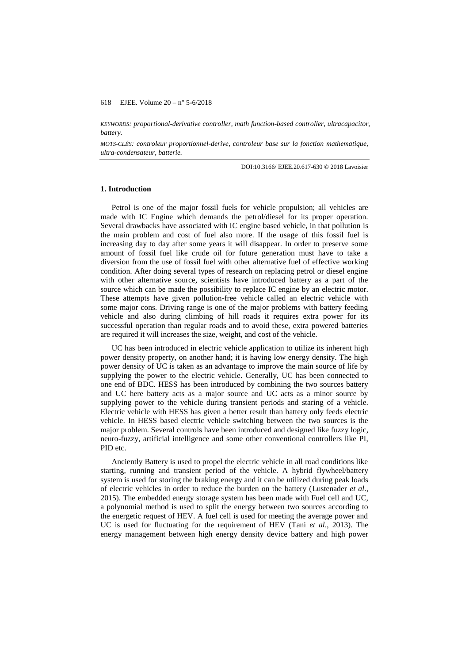*KEYWORDS: proportional-derivative controller, math function-based controller, ultracapacitor, battery.*

*MOTS-CLÉS: controleur proportionnel-derive, controleur base sur la fonction mathematique, ultra-condensateur, batterie.*

DOI:10.3166/ EJEE.20.617-630 © 2018 Lavoisier

#### **1. Introduction**

Petrol is one of the major fossil fuels for vehicle propulsion; all vehicles are made with IC Engine which demands the petrol/diesel for its proper operation. Several drawbacks have associated with IC engine based vehicle, in that pollution is the main problem and cost of fuel also more. If the usage of this fossil fuel is increasing day to day after some years it will disappear. In order to preserve some amount of fossil fuel like crude oil for future generation must have to take a diversion from the use of fossil fuel with other alternative fuel of effective working condition. After doing several types of research on replacing petrol or diesel engine with other alternative source, scientists have introduced battery as a part of the source which can be made the possibility to replace IC engine by an electric motor. These attempts have given pollution-free vehicle called an electric vehicle with some major cons. Driving range is one of the major problems with battery feeding vehicle and also during climbing of hill roads it requires extra power for its successful operation than regular roads and to avoid these, extra powered batteries are required it will increases the size, weight, and cost of the vehicle.

UC has been introduced in electric vehicle application to utilize its inherent high power density property, on another hand; it is having low energy density. The high power density of UC is taken as an advantage to improve the main source of life by supplying the power to the electric vehicle. Generally, UC has been connected to one end of BDC. HESS has been introduced by combining the two sources battery and UC here battery acts as a major source and UC acts as a minor source by supplying power to the vehicle during transient periods and staring of a vehicle. Electric vehicle with HESS has given a better result than battery only feeds electric vehicle. In HESS based electric vehicle switching between the two sources is the major problem. Several controls have been introduced and designed like fuzzy logic, neuro-fuzzy, artificial intelligence and some other conventional controllers like PI, PID etc.

Anciently Battery is used to propel the electric vehicle in all road conditions like starting, running and transient period of the vehicle. A hybrid flywheel/battery system is used for storing the braking energy and it can be utilized during peak loads of electric vehicles in order to reduce the burden on the battery (Lustenader *et al*., 2015). The embedded energy storage system has been made with Fuel cell and UC, a polynomial method is used to split the energy between two sources according to the energetic request of HEV. A fuel cell is used for meeting the average power and UC is used for fluctuating for the requirement of HEV (Tani *et al*., 2013). The energy management between high energy density device battery and high power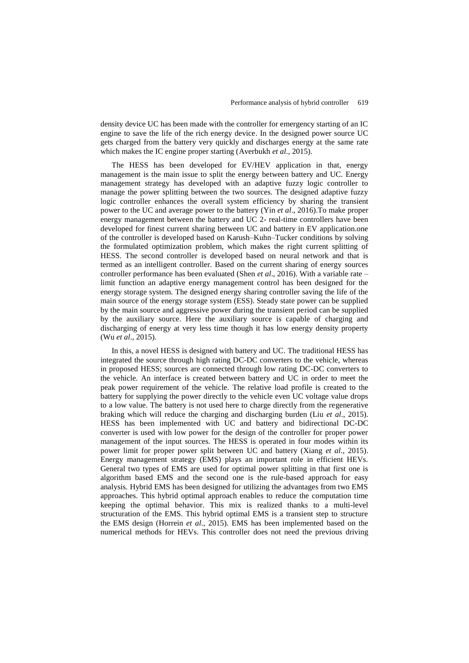density device UC has been made with the controller for emergency starting of an IC engine to save the life of the rich energy device. In the designed power source UC gets charged from the battery very quickly and discharges energy at the same rate which makes the IC engine proper starting (Averbukh *et al*., 2015).

The HESS has been developed for EV/HEV application in that, energy management is the main issue to split the energy between battery and UC. Energy management strategy has developed with an adaptive fuzzy logic controller to manage the power splitting between the two sources. The designed adaptive fuzzy logic controller enhances the overall system efficiency by sharing the transient power to the UC and average power to the battery (Yin *et al*., 2016).To make proper energy management between the battery and UC 2- real-time controllers have been developed for finest current sharing between UC and battery in EV application.one of the controller is developed based on Karush–Kuhn–Tucker conditions by solving the formulated optimization problem, which makes the right current splitting of HESS. The second controller is developed based on neural network and that is termed as an intelligent controller. Based on the current sharing of energy sources controller performance has been evaluated (Shen *et al*., 2016). With a variable rate – limit function an adaptive energy management control has been designed for the energy storage system. The designed energy sharing controller saving the life of the main source of the energy storage system (ESS). Steady state power can be supplied by the main source and aggressive power during the transient period can be supplied by the auxiliary source. Here the auxiliary source is capable of charging and discharging of energy at very less time though it has low energy density property (Wu *et al*., 2015).

In this, a novel HESS is designed with battery and UC. The traditional HESS has integrated the source through high rating DC-DC converters to the vehicle, whereas in proposed HESS; sources are connected through low rating DC-DC converters to the vehicle. An interface is created between battery and UC in order to meet the peak power requirement of the vehicle. The relative load profile is created to the battery for supplying the power directly to the vehicle even UC voltage value drops to a low value. The battery is not used here to charge directly from the regenerative braking which will reduce the charging and discharging burden (Liu *et al*., 2015). HESS has been implemented with UC and battery and bidirectional DC-DC converter is used with low power for the design of the controller for proper power management of the input sources. The HESS is operated in four modes within its power limit for proper power split between UC and battery (Xiang *et al*., 2015). Energy management strategy (EMS) plays an important role in efficient HEVs. General two types of EMS are used for optimal power splitting in that first one is algorithm based EMS and the second one is the rule-based approach for easy analysis. Hybrid EMS has been designed for utilizing the advantages from two EMS approaches. This hybrid optimal approach enables to reduce the computation time keeping the optimal behavior. This mix is realized thanks to a multi-level structuration of the EMS. This hybrid optimal EMS is a transient step to structure the EMS design (Horrein *et al*., 2015). EMS has been implemented based on the numerical methods for HEVs. This controller does not need the previous driving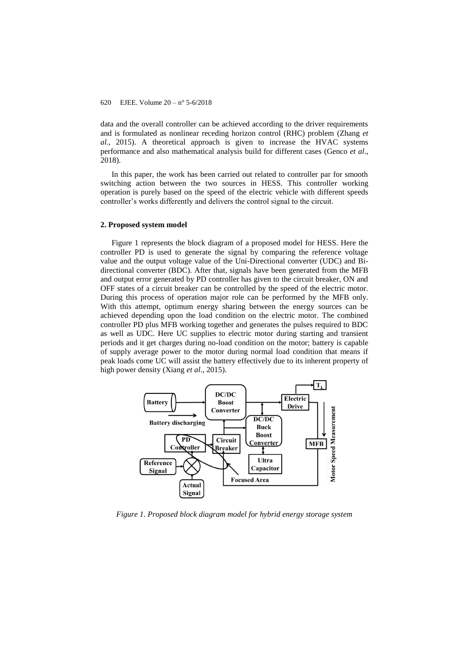data and the overall controller can be achieved according to the driver requirements and is formulated as nonlinear receding horizon control (RHC) problem (Zhang *et al*., 2015). A theoretical approach is given to increase the HVAC systems performance and also mathematical analysis build for different cases (Genco *et al*., 2018).

In this paper, the work has been carried out related to controller par for smooth switching action between the two sources in HESS. This controller working operation is purely based on the speed of the electric vehicle with different speeds controller's works differently and delivers the control signal to the circuit.

#### **2. Proposed system model**

Figure 1 represents the block diagram of a proposed model for HESS. Here the controller PD is used to generate the signal by comparing the reference voltage value and the output voltage value of the Uni-Directional converter (UDC) and Bidirectional converter (BDC). After that, signals have been generated from the MFB and output error generated by PD controller has given to the circuit breaker, ON and OFF states of a circuit breaker can be controlled by the speed of the electric motor. During this process of operation major role can be performed by the MFB only. With this attempt, optimum energy sharing between the energy sources can be achieved depending upon the load condition on the electric motor. The combined controller PD plus MFB working together and generates the pulses required to BDC as well as UDC. Here UC supplies to electric motor during starting and transient periods and it get charges during no-load condition on the motor; battery is capable of supply average power to the motor during normal load condition that means if peak loads come UC will assist the battery effectively due to its inherent property of high power density (Xiang *et al*., 2015).



*Figure 1. Proposed block diagram model for hybrid energy storage system*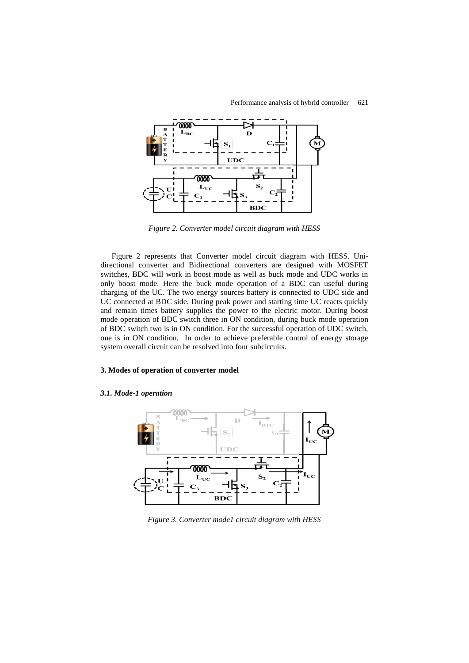#### Performance analysis of hybrid controller 621



*Figure 2. Converter model circuit diagram with HESS*

Figure 2 represents that Converter model circuit diagram with HESS. Unidirectional converter and Bidirectional converters are designed with MOSFET switches, BDC will work in boost mode as well as buck mode and UDC works in only boost mode. Here the buck mode operation of a BDC can useful during charging of the UC. The two energy sources battery is connected to UDC side and UC connected at BDC side. During peak power and starting time UC reacts quickly and remain times battery supplies the power to the electric motor. During boost mode operation of BDC switch three in ON condition, during buck mode operation of BDC switch two is in ON condition. For the successful operation of UDC switch, one is in ON condition. In order to achieve preferable control of energy storage system overall circuit can be resolved into four subcircuits.

## **3. Modes of operation of converter model**

## *3.1. Mode-1 operation*



*Figure 3. Converter mode1 circuit diagram with HESS*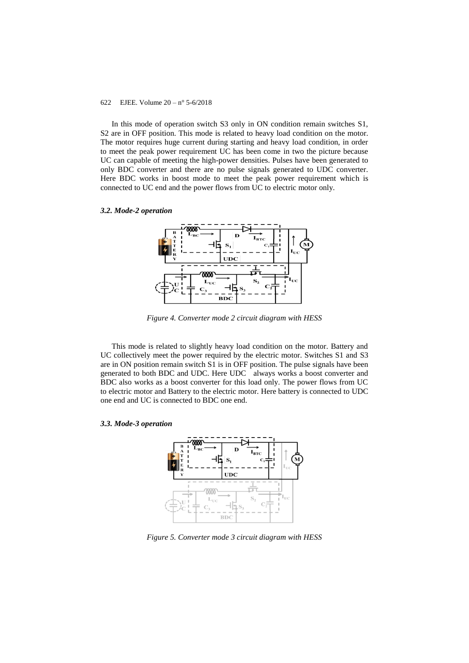In this mode of operation switch S3 only in ON condition remain switches S1, S2 are in OFF position. This mode is related to heavy load condition on the motor. The motor requires huge current during starting and heavy load condition, in order to meet the peak power requirement UC has been come in two the picture because UC can capable of meeting the high-power densities. Pulses have been generated to only BDC converter and there are no pulse signals generated to UDC converter. Here BDC works in boost mode to meet the peak power requirement which is connected to UC end and the power flows from UC to electric motor only.

## *3.2. Mode-2 operation*



*Figure 4. Converter mode 2 circuit diagram with HESS*

This mode is related to slightly heavy load condition on the motor. Battery and UC collectively meet the power required by the electric motor. Switches S1 and S3 are in ON position remain switch S1 is in OFF position. The pulse signals have been generated to both BDC and UDC. Here UDC always works a boost converter and BDC also works as a boost converter for this load only. The power flows from UC to electric motor and Battery to the electric motor. Here battery is connected to UDC one end and UC is connected to BDC one end.

#### *3.3. Mode-3 operation*



*Figure 5. Converter mode 3 circuit diagram with HESS*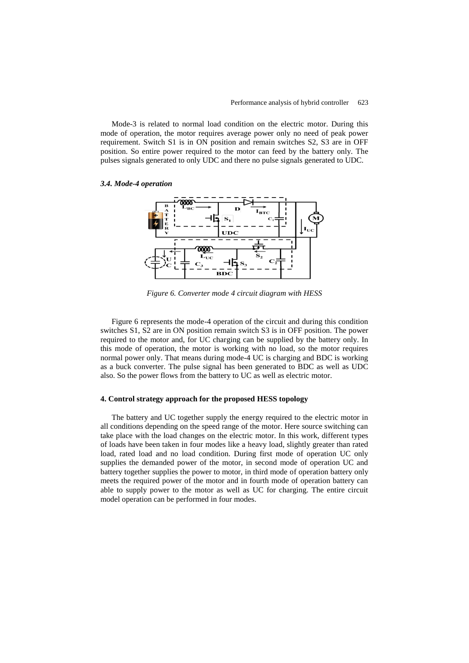Mode-3 is related to normal load condition on the electric motor. During this mode of operation, the motor requires average power only no need of peak power requirement. Switch S1 is in ON position and remain switches S2, S3 are in OFF position. So entire power required to the motor can feed by the battery only. The pulses signals generated to only UDC and there no pulse signals generated to UDC.

#### *3.4. Mode-4 operation*



*Figure 6. Converter mode 4 circuit diagram with HESS*

Figure 6 represents the mode-4 operation of the circuit and during this condition switches S1, S2 are in ON position remain switch S3 is in OFF position. The power required to the motor and, for UC charging can be supplied by the battery only. In this mode of operation, the motor is working with no load, so the motor requires normal power only. That means during mode-4 UC is charging and BDC is working as a buck converter. The pulse signal has been generated to BDC as well as UDC also. So the power flows from the battery to UC as well as electric motor.

#### **4. Control strategy approach for the proposed HESS topology**

The battery and UC together supply the energy required to the electric motor in all conditions depending on the speed range of the motor. Here source switching can take place with the load changes on the electric motor. In this work, different types of loads have been taken in four modes like a heavy load, slightly greater than rated load, rated load and no load condition. During first mode of operation UC only supplies the demanded power of the motor, in second mode of operation UC and battery together supplies the power to motor, in third mode of operation battery only meets the required power of the motor and in fourth mode of operation battery can able to supply power to the motor as well as UC for charging. The entire circuit model operation can be performed in four modes.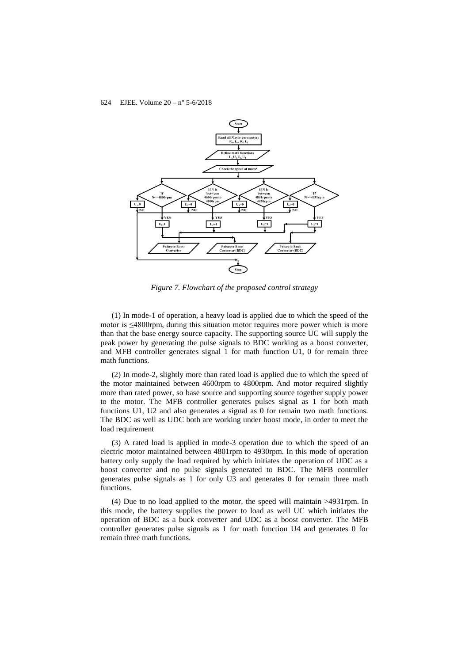

*Figure 7. Flowchart of the proposed control strategy*

(1) In mode-1 of operation, a heavy load is applied due to which the speed of the motor is ≤4800rpm, during this situation motor requires more power which is more than that the base energy source capacity. The supporting source UC will supply the peak power by generating the pulse signals to BDC working as a boost converter, and MFB controller generates signal 1 for math function U1, 0 for remain three math functions.

(2) In mode-2, slightly more than rated load is applied due to which the speed of the motor maintained between 4600rpm to 4800rpm. And motor required slightly more than rated power, so base source and supporting source together supply power to the motor. The MFB controller generates pulses signal as 1 for both math functions U1, U2 and also generates a signal as 0 for remain two math functions. The BDC as well as UDC both are working under boost mode, in order to meet the load requirement

(3) A rated load is applied in mode-3 operation due to which the speed of an electric motor maintained between 4801rpm to 4930rpm. In this mode of operation battery only supply the load required by which initiates the operation of UDC as a boost converter and no pulse signals generated to BDC. The MFB controller generates pulse signals as 1 for only U3 and generates 0 for remain three math functions.

(4) Due to no load applied to the motor, the speed will maintain >4931rpm. In this mode, the battery supplies the power to load as well UC which initiates the operation of BDC as a buck converter and UDC as a boost converter. The MFB controller generates pulse signals as 1 for math function U4 and generates 0 for remain three math functions.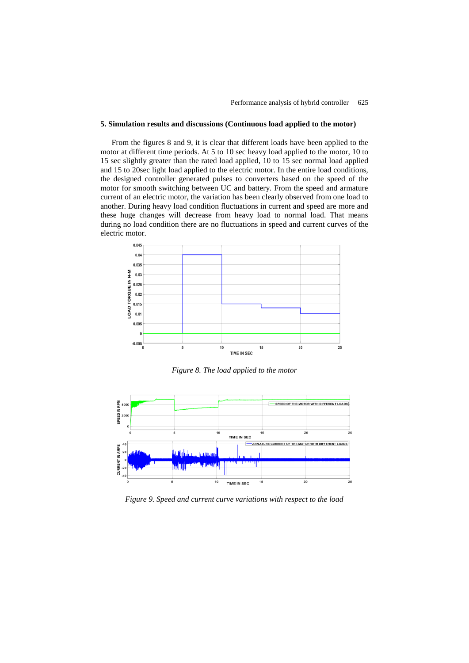## **5. Simulation results and discussions (Continuous load applied to the motor)**

From the figures 8 and 9, it is clear that different loads have been applied to the motor at different time periods. At 5 to 10 sec heavy load applied to the motor, 10 to 15 sec slightly greater than the rated load applied, 10 to 15 sec normal load applied and 15 to 20sec light load applied to the electric motor. In the entire load conditions, the designed controller generated pulses to converters based on the speed of the motor for smooth switching between UC and battery. From the speed and armature current of an electric motor, the variation has been clearly observed from one load to another. During heavy load condition fluctuations in current and speed are more and these huge changes will decrease from heavy load to normal load. That means during no load condition there are no fluctuations in speed and current curves of the electric motor.



*Figure 8. The load applied to the motor*



*Figure 9. Speed and current curve variations with respect to the load*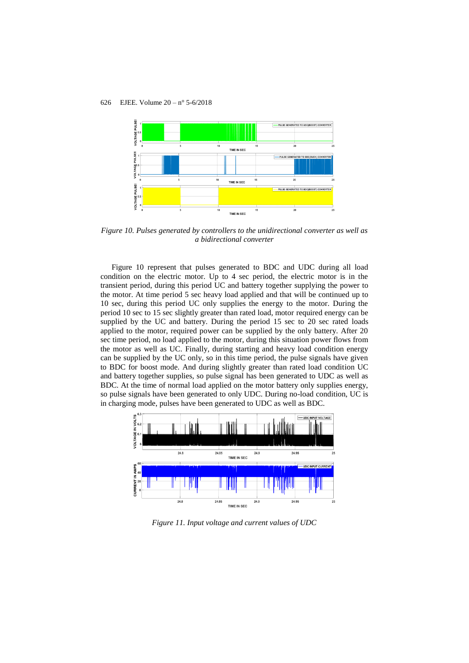

*Figure 10. Pulses generated by controllers to the unidirectional converter as well as a bidirectional converter*

Figure 10 represent that pulses generated to BDC and UDC during all load condition on the electric motor. Up to 4 sec period, the electric motor is in the transient period, during this period UC and battery together supplying the power to the motor. At time period 5 sec heavy load applied and that will be continued up to 10 sec, during this period UC only supplies the energy to the motor. During the period 10 sec to 15 sec slightly greater than rated load, motor required energy can be supplied by the UC and battery. During the period 15 sec to 20 sec rated loads applied to the motor, required power can be supplied by the only battery. After 20 sec time period, no load applied to the motor, during this situation power flows from the motor as well as UC. Finally, during starting and heavy load condition energy can be supplied by the UC only, so in this time period, the pulse signals have given to BDC for boost mode. And during slightly greater than rated load condition UC and battery together supplies, so pulse signal has been generated to UDC as well as BDC. At the time of normal load applied on the motor battery only supplies energy, so pulse signals have been generated to only UDC. During no-load condition, UC is in charging mode, pulses have been generated to UDC as well as BDC.



*Figure 11. Input voltage and current values of UDC*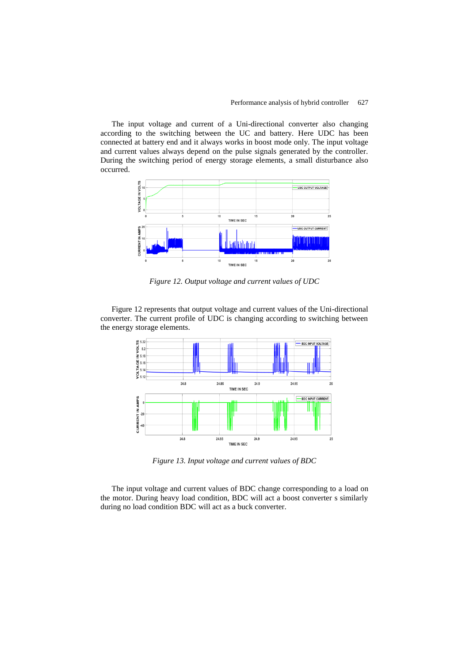The input voltage and current of a Uni-directional converter also changing according to the switching between the UC and battery. Here UDC has been connected at battery end and it always works in boost mode only. The input voltage and current values always depend on the pulse signals generated by the controller. During the switching period of energy storage elements, a small disturbance also occurred.



*Figure 12. Output voltage and current values of UDC*

Figure 12 represents that output voltage and current values of the Uni-directional converter. The current profile of UDC is changing according to switching between the energy storage elements.



*Figure 13. Input voltage and current values of BDC*

The input voltage and current values of BDC change corresponding to a load on the motor. During heavy load condition, BDC will act a boost converter s similarly during no load condition BDC will act as a buck converter.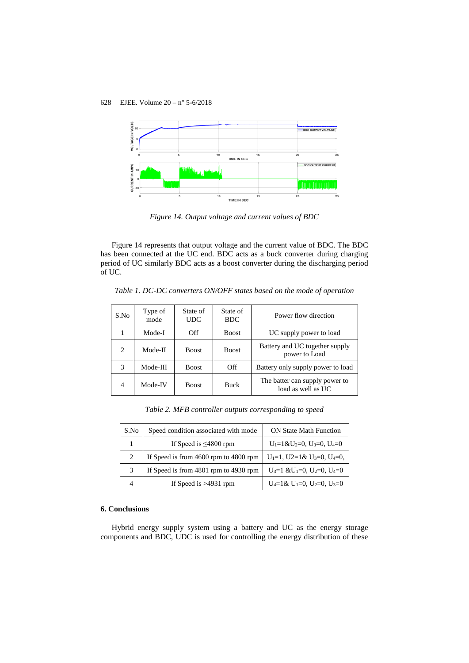

*Figure 14. Output voltage and current values of BDC*

Figure 14 represents that output voltage and the current value of BDC. The BDC has been connected at the UC end. BDC acts as a buck converter during charging period of UC similarly BDC acts as a boost converter during the discharging period of UC.

*Table 1. DC-DC converters ON/OFF states based on the mode of operation*

| S.No           | Type of<br>mode | State of<br><b>UDC</b> | State of<br><b>BDC</b> | Power flow direction                                 |
|----------------|-----------------|------------------------|------------------------|------------------------------------------------------|
|                | Mode-I          | Off                    | <b>Boost</b>           | UC supply power to load                              |
| $\overline{c}$ | Mode-II         | <b>Boost</b>           | <b>Boost</b>           | Battery and UC together supply<br>power to Load      |
| 3              | Mode-III        | Boost                  | Off                    | Battery only supply power to load                    |
| $\overline{4}$ | Mode-IV         | <b>Boost</b>           | <b>Buck</b>            | The batter can supply power to<br>load as well as UC |

*Table 2. MFB controller outputs corresponding to speed*

| S.No           | Speed condition associated with mode  | <b>ON State Math Function</b>                                              |
|----------------|---------------------------------------|----------------------------------------------------------------------------|
|                | If Speed is $\leq 4800$ rpm           | $U_1=1\&U_2=0, U_3=0, U_4=0$                                               |
| $\mathfrak{D}$ | If Speed is from 4600 rpm to 4800 rpm | U <sub>1</sub> =1, U2=1& U <sub>3</sub> =0, U <sub>4</sub> =0,             |
| 3              | If Speed is from 4801 rpm to 4930 rpm | U <sub>3</sub> =1 &U <sub>1</sub> =0, U <sub>2</sub> =0, U <sub>4</sub> =0 |
|                | If Speed is $>4931$ rpm               | $U_4=1$ & $U_1=0$ , $U_2=0$ , $U_3=0$                                      |

## **6. Conclusions**

Hybrid energy supply system using a battery and UC as the energy storage components and BDC, UDC is used for controlling the energy distribution of these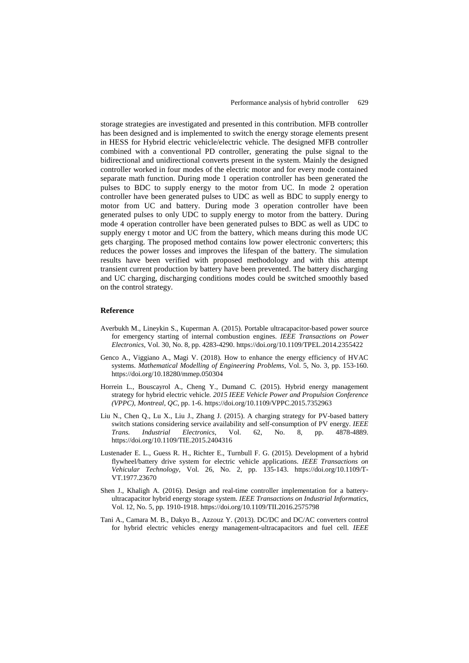storage strategies are investigated and presented in this contribution. MFB controller has been designed and is implemented to switch the energy storage elements present in HESS for Hybrid electric vehicle/electric vehicle. The designed MFB controller combined with a conventional PD controller, generating the pulse signal to the bidirectional and unidirectional converts present in the system. Mainly the designed controller worked in four modes of the electric motor and for every mode contained separate math function. During mode 1 operation controller has been generated the pulses to BDC to supply energy to the motor from UC. In mode 2 operation controller have been generated pulses to UDC as well as BDC to supply energy to motor from UC and battery. During mode 3 operation controller have been generated pulses to only UDC to supply energy to motor from the battery. During mode 4 operation controller have been generated pulses to BDC as well as UDC to supply energy t motor and UC from the battery, which means during this mode UC gets charging. The proposed method contains low power electronic converters; this reduces the power losses and improves the lifespan of the battery. The simulation results have been verified with proposed methodology and with this attempt transient current production by battery have been prevented. The battery discharging and UC charging, discharging conditions modes could be switched smoothly based on the control strategy.

#### **Reference**

- Averbukh M., Lineykin S., Kuperman A. (2015). Portable ultracapacitor-based power source for emergency starting of internal combustion engines. *IEEE Transactions on Power Electronics*, Vol. 30, No. 8, pp. 4283-4290. https://doi.org/10.1109/TPEL.2014.2355422
- Genco A., Viggiano A., Magi V. (2018). How to enhance the energy efficiency of HVAC systems. *Mathematical Modelling of Engineering Problems*, Vol. 5, No. 3, pp. 153-160. https://doi.org/10.18280/mmep.050304
- Horrein L., Bouscayrol A., Cheng Y., Dumand C*.* (2015)*.* Hybrid energy management strategy for hybrid electric vehicle*. 2015 IEEE Vehicle Power and Propulsion Conference (VPPC), Montreal, QC*, pp. 1-6. https://doi.org/10.1109/VPPC.2015.7352963
- Liu N., Chen Q., Lu X., Liu J., Zhang J. (2015). A charging strategy for PV-based battery switch stations considering service availability and self-consumption of PV energy. *IEEE Trans. Industrial Electronics*, Vol. 62, No. 8, pp. 4878-4889. https://doi.org/10.1109/TIE.2015.2404316
- Lustenader E. L., Guess R. H., Richter E., Turnbull F. G. (2015). Development of a hybrid flywheel/battery drive system for electric vehicle applications. *IEEE Transactions on Vehicular Technology*, Vol. 26, No. 2, pp. 135-143. https://doi.org/10.1109/T-VT.1977.23670
- Shen J., Khaligh A. (2016). Design and real-time controller implementation for a batteryultracapacitor hybrid energy storage system. *IEEE Transactions on Industrial Informatics*, Vol. 12, No. 5, pp. 1910-1918. https://doi.org/10.1109/TII.2016.2575798
- Tani A., Camara M. B., Dakyo B., Azzouz Y. (2013). DC/DC and DC/AC converters control for hybrid electric vehicles energy management-ultracapacitors and fuel cell. *IEEE*